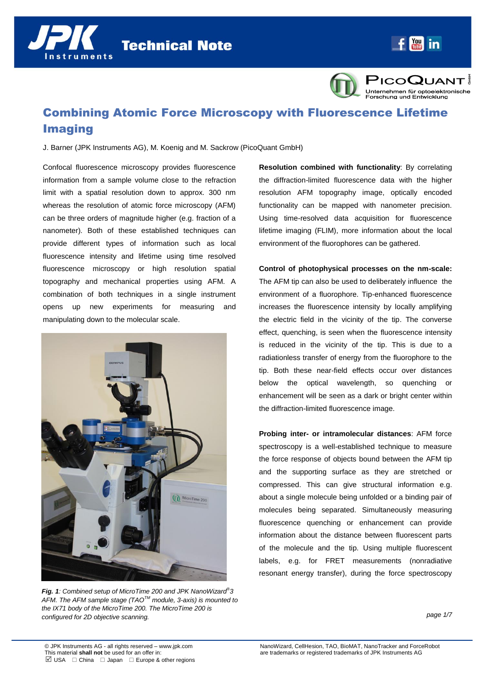**Technical Note** 



PICOQUANT! Unternehmen für optoelektronische<br>Forschung und Entwicklung

# Combining Atomic Force Microscopy with Fluorescence Lifetime Imaging

J. Barner (JPK Instruments AG), M. Koenig and M. Sackrow (PicoQuant GmbH)

Confocal fluorescence microscopy provides fluorescence information from a sample volume close to the refraction limit with a spatial resolution down to approx. 300 nm whereas the resolution of atomic force microscopy (AFM) can be three orders of magnitude higher (e.g. fraction of a nanometer). Both of these established techniques can provide different types of information such as local fluorescence intensity and lifetime using time resolved fluorescence microscopy or high resolution spatial topography and mechanical properties using AFM. A combination of both techniques in a single instrument opens up new experiments for measuring and manipulating down to the molecular scale.



*Fig. 1: Combined setup of MicroTime 200 and JPK NanoWizard® 3 AFM. The AFM sample stage (TAOTM module, 3-axis) is mounted to the IX71 body of the MicroTime 200. The MicroTime 200 is configured for 2D objective scanning.*

**Resolution combined with functionality**: By correlating the diffraction-limited fluorescence data with the higher resolution AFM topography image, optically encoded functionality can be mapped with nanometer precision. Using time-resolved data acquisition for fluorescence lifetime imaging (FLIM), more information about the local environment of the fluorophores can be gathered.

**Control of photophysical processes on the nm-scale:** The AFM tip can also be used to deliberately influence the environment of a fluorophore. Tip-enhanced fluorescence increases the fluorescence intensity by locally amplifying the electric field in the vicinity of the tip. The converse effect, quenching, is seen when the fluorescence intensity is reduced in the vicinity of the tip. This is due to a radiationless transfer of energy from the fluorophore to the tip. Both these near-field effects occur over distances below the optical wavelength, so quenching or enhancement will be seen as a dark or bright center within the diffraction-limited fluorescence image.

**Probing inter- or intramolecular distances**: AFM force spectroscopy is a well-established technique to measure the force response of objects bound between the AFM tip and the supporting surface as they are stretched or compressed. This can give structural information e.g. about a single molecule being unfolded or a binding pair of molecules being separated. Simultaneously measuring fluorescence quenching or enhancement can provide information about the distance between fluorescent parts of the molecule and the tip. Using multiple fluorescent labels, e.g. for FRET measurements (nonradiative resonant energy transfer), during the force spectroscopy

*page 1/7*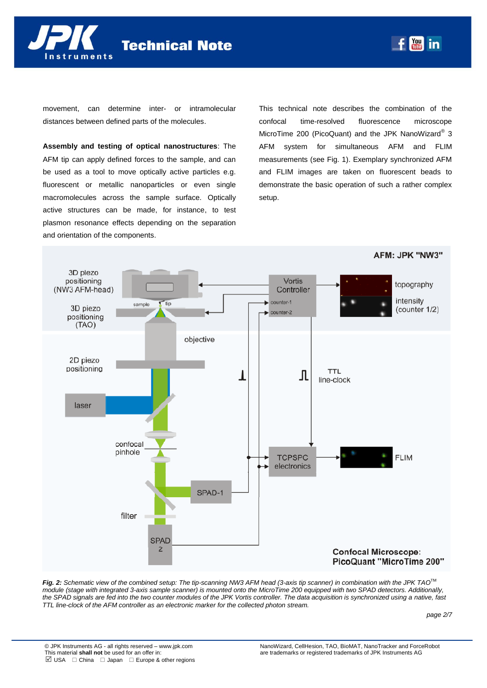

movement, can determine inter- or intramolecular distances between defined parts of the molecules.

**Assembly and testing of optical nanostructures**: The AFM tip can apply defined forces to the sample, and can be used as a tool to move optically active particles e.g. fluorescent or metallic nanoparticles or even single macromolecules across the sample surface. Optically active structures can be made, for instance, to test plasmon resonance effects depending on the separation and orientation of the components.

This technical note describes the combination of the confocal time-resolved fluorescence microscope MicroTime 200 (PicoQuant) and the JPK NanoWizard® 3 AFM system for simultaneous AFM and FLIM measurements (see Fig. 1). Exemplary synchronized AFM and FLIM images are taken on fluorescent beads to demonstrate the basic operation of such a rather complex setup.

**You in** 



*Fig. 2: Schematic view of the combined setup: The tip-scanning NW3 AFM head (3-axis tip scanner) in combination with the JPK TAO*TM *module (stage with integrated 3-axis sample scanner) is mounted onto the MicroTime 200 equipped with two SPAD detectors. Additionally, the SPAD signals are fed into the two counter modules of the JPK Vortis controller. The data acquisition is synchronized using a native, fast TTL line-clock of the AFM controller as an electronic marker for the collected photon stream.* 

*page 2/7*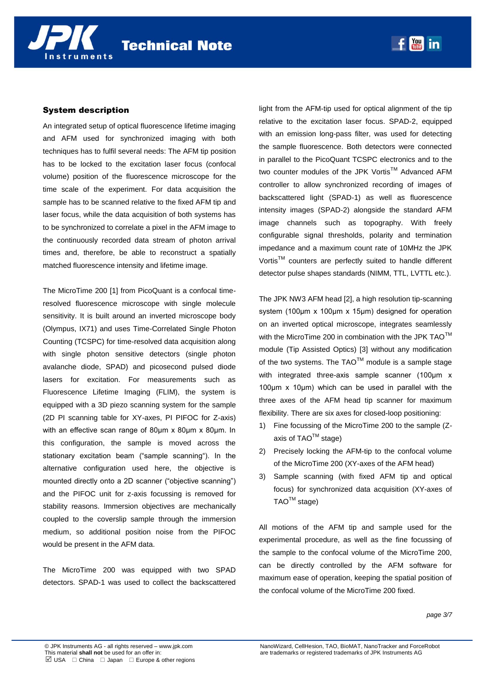An integrated setup of optical fluorescence lifetime imaging and AFM used for synchronized imaging with both techniques has to fulfil several needs: The AFM tip position has to be locked to the excitation laser focus (confocal volume) position of the fluorescence microscope for the time scale of the experiment. For data acquisition the sample has to be scanned relative to the fixed AFM tip and laser focus, while the data acquisition of both systems has to be synchronized to correlate a pixel in the AFM image to the continuously recorded data stream of photon arrival times and, therefore, be able to reconstruct a spatially matched fluorescence intensity and lifetime image.

The MicroTime 200 [1] from PicoQuant is a confocal timeresolved fluorescence microscope with single molecule sensitivity. It is built around an inverted microscope body (Olympus, IX71) and uses Time-Correlated Single Photon Counting (TCSPC) for time-resolved data acquisition along with single photon sensitive detectors (single photon avalanche diode, SPAD) and picosecond pulsed diode lasers for excitation. For measurements such as Fluorescence Lifetime Imaging (FLIM), the system is equipped with a 3D piezo scanning system for the sample (2D PI scanning table for XY-axes, PI PIFOC for Z-axis) with an effective scan range of 80μm x 80μm x 80μm. In this configuration, the sample is moved across the stationary excitation beam ("sample scanning"). In the alternative configuration used here, the objective is mounted directly onto a 2D scanner ("objective scanning") and the PIFOC unit for z-axis focussing is removed for stability reasons. Immersion objectives are mechanically coupled to the coverslip sample through the immersion medium, so additional position noise from the PIFOC would be present in the AFM data.

The MicroTime 200 was equipped with two SPAD detectors. SPAD-1 was used to collect the backscattered

light from the AFM-tip used for optical alignment of the tip relative to the excitation laser focus. SPAD-2, equipped with an emission long-pass filter, was used for detecting the sample fluorescence. Both detectors were connected in parallel to the PicoQuant TCSPC electronics and to the two counter modules of the JPK Vortis™ Advanced AFM controller to allow synchronized recording of images of backscattered light (SPAD-1) as well as fluorescence intensity images (SPAD-2) alongside the standard AFM image channels such as topography. With freely configurable signal thresholds, polarity and termination impedance and a maximum count rate of 10MHz the JPK Vortis™ counters are perfectly suited to handle different detector pulse shapes standards (NIMM, TTL, LVTTL etc.).

 $f$   $\frac{Y_{0u}}{I_{0u}}$  in

The JPK NW3 AFM head [2], a high resolution tip-scanning system (100μm x 100μm x 15μm) designed for operation on an inverted optical microscope, integrates seamlessly with the MicroTime 200 in combination with the JPK  $TAO^{TM}$ module (Tip Assisted Optics) [3] without any modification of the two systems. The TAO<sup>TM</sup> module is a sample stage with integrated three-axis sample scanner (100μm x 100μm x 10μm) which can be used in parallel with the three axes of the AFM head tip scanner for maximum flexibility. There are six axes for closed-loop positioning:

- 1) Fine focussing of the MicroTime 200 to the sample (Zaxis of  $TAO^{TM}$  stage)
- 2) Precisely locking the AFM-tip to the confocal volume of the MicroTime 200 (XY-axes of the AFM head)
- 3) Sample scanning (with fixed AFM tip and optical focus) for synchronized data acquisition (XY-axes of  $TAO^{TM}$  stage)

All motions of the AFM tip and sample used for the experimental procedure, as well as the fine focussing of the sample to the confocal volume of the MicroTime 200, can be directly controlled by the AFM software for maximum ease of operation, keeping the spatial position of the confocal volume of the MicroTime 200 fixed.

*page 3/7*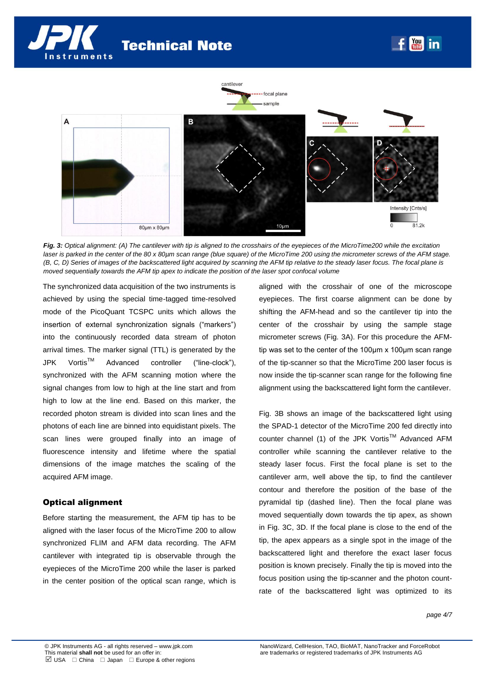**Technical Note** 





*Fig. 3: Optical alignment: (A) The cantilever with tip is aligned to the crosshairs of the eyepieces of the MicroTime200 while the excitation laser is parked in the center of the 80 x 80µm scan range (blue square) of the MicroTime 200 using the micrometer screws of the AFM stage. (B, C, D) Series of images of the backscattered light acquired by scanning the AFM tip relative to the steady laser focus. The focal plane is moved sequentially towards the AFM tip apex to indicate the position of the laser spot confocal volume*

The synchronized data acquisition of the two instruments is achieved by using the special time-tagged time-resolved mode of the PicoQuant TCSPC units which allows the insertion of external synchronization signals ("markers") into the continuously recorded data stream of photon arrival times. The marker signal (TTL) is generated by the JPK Vortis<sup>™</sup> Advanced controller ("line-clock"), synchronized with the AFM scanning motion where the signal changes from low to high at the line start and from high to low at the line end. Based on this marker, the recorded photon stream is divided into scan lines and the photons of each line are binned into equidistant pixels. The scan lines were grouped finally into an image of fluorescence intensity and lifetime where the spatial dimensions of the image matches the scaling of the acquired AFM image.

# Optical alignment

Before starting the measurement, the AFM tip has to be aligned with the laser focus of the MicroTime 200 to allow synchronized FLIM and AFM data recording. The AFM cantilever with integrated tip is observable through the eyepieces of the MicroTime 200 while the laser is parked in the center position of the optical scan range, which is aligned with the crosshair of one of the microscope eyepieces. The first coarse alignment can be done by shifting the AFM-head and so the cantilever tip into the center of the crosshair by using the sample stage micrometer screws (Fig. 3A). For this procedure the AFMtip was set to the center of the 100μm x 100μm scan range of the tip-scanner so that the MicroTime 200 laser focus is now inside the tip-scanner scan range for the following fine alignment using the backscattered light form the cantilever.

Fig. 3B shows an image of the backscattered light using the SPAD-1 detector of the MicroTime 200 fed directly into counter channel (1) of the JPK Vortis™ Advanced AFM controller while scanning the cantilever relative to the steady laser focus. First the focal plane is set to the cantilever arm, well above the tip, to find the cantilever contour and therefore the position of the base of the pyramidal tip (dashed line). Then the focal plane was moved sequentially down towards the tip apex, as shown in Fig. 3C, 3D. If the focal plane is close to the end of the tip, the apex appears as a single spot in the image of the backscattered light and therefore the exact laser focus position is known precisely. Finally the tip is moved into the focus position using the tip-scanner and the photon countrate of the backscattered light was optimized to its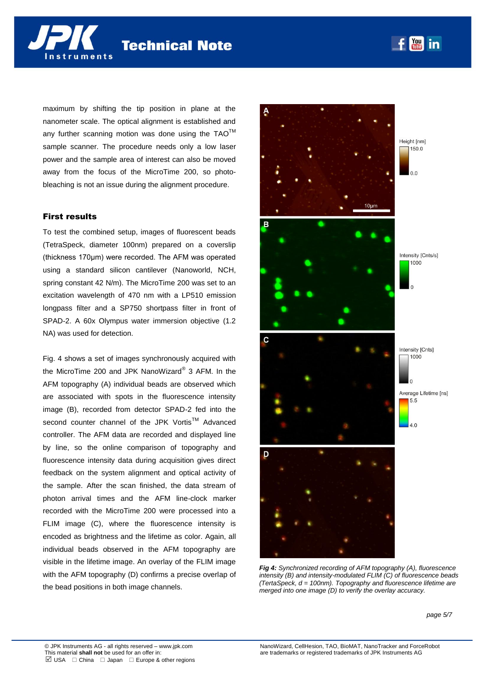maximum by shifting the tip position in plane at the nanometer scale. The optical alignment is established and any further scanning motion was done using the  $TAO^{TM}$ sample scanner. The procedure needs only a low laser power and the sample area of interest can also be moved away from the focus of the MicroTime 200, so photobleaching is not an issue during the alignment procedure.

# First results

To test the combined setup, images of fluorescent beads (TetraSpeck, diameter 100nm) prepared on a coverslip (thickness 170μm) were recorded. The AFM was operated using a standard silicon cantilever (Nanoworld, NCH, spring constant 42 N/m). The MicroTime 200 was set to an excitation wavelength of 470 nm with a LP510 emission longpass filter and a SP750 shortpass filter in front of SPAD-2. A 60x Olympus water immersion objective (1.2 NA) was used for detection.

Fig. 4 shows a set of images synchronously acquired with the MicroTime 200 and JPK NanoWizard® 3 AFM. In the AFM topography (A) individual beads are observed which are associated with spots in the fluorescence intensity image (B), recorded from detector SPAD-2 fed into the second counter channel of the JPK Vortis<sup>TM</sup> Advanced controller. The AFM data are recorded and displayed line by line, so the online comparison of topography and fluorescence intensity data during acquisition gives direct feedback on the system alignment and optical activity of the sample. After the scan finished, the data stream of photon arrival times and the AFM line-clock marker recorded with the MicroTime 200 were processed into a FLIM image (C), where the fluorescence intensity is encoded as brightness and the lifetime as color. Again, all individual beads observed in the AFM topography are visible in the lifetime image. An overlay of the FLIM image with the AFM topography (D) confirms a precise overlap of the bead positions in both image channels.



*Fig 4: Synchronized recording of AFM topography (A), fluorescence intensity (B) and intensity-modulated FLIM (C) of fluorescence beads (TertaSpeck, d = 100nm). Topography and fluorescence lifetime are merged into one image (D) to verify the overlay accuracy.* 

*page 5/7*

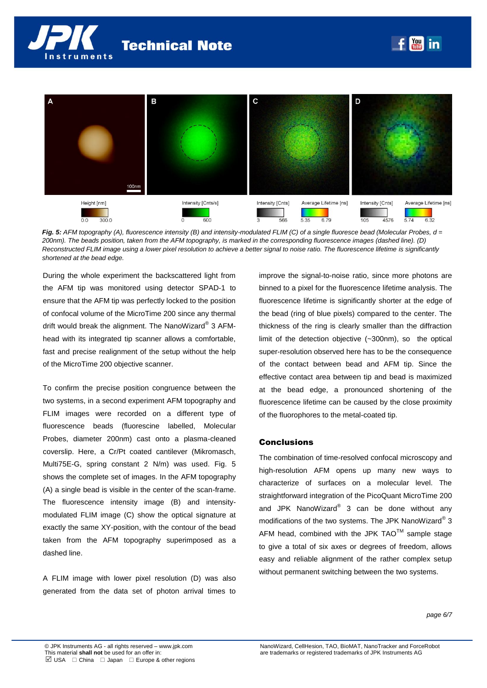



*Fig. 5: AFM topography (A), fluorescence intensity (B) and intensity-modulated FLIM (C) of a single fluoresce bead (Molecular Probes, d = 200nm). The beads position, taken from the AFM topography, is marked in the corresponding fluorescence images (dashed line). (D) Reconstructed FLIM image using a lower pixel resolution to achieve a better signal to noise ratio. The fluorescence lifetime is significantly shortened at the bead edge.*

During the whole experiment the backscattered light from the AFM tip was monitored using detector SPAD-1 to ensure that the AFM tip was perfectly locked to the position of confocal volume of the MicroTime 200 since any thermal drift would break the alignment. The NanoWizard® 3 AFMhead with its integrated tip scanner allows a comfortable, fast and precise realignment of the setup without the help of the MicroTime 200 objective scanner.

To confirm the precise position congruence between the two systems, in a second experiment AFM topography and FLIM images were recorded on a different type of fluorescence beads (fluorescine labelled, Molecular Probes, diameter 200nm) cast onto a plasma-cleaned coverslip. Here, a Cr/Pt coated cantilever (Mikromasch, Multi75E-G, spring constant 2 N/m) was used. Fig. 5 shows the complete set of images. In the AFM topography (A) a single bead is visible in the center of the scan-frame. The fluorescence intensity image (B) and intensitymodulated FLIM image (C) show the optical signature at exactly the same XY-position, with the contour of the bead taken from the AFM topography superimposed as a dashed line.

A FLIM image with lower pixel resolution (D) was also generated from the data set of photon arrival times to

improve the signal-to-noise ratio, since more photons are binned to a pixel for the fluorescence lifetime analysis. The fluorescence lifetime is significantly shorter at the edge of the bead (ring of blue pixels) compared to the center. The thickness of the ring is clearly smaller than the diffraction limit of the detection objective (~300nm), so the optical super-resolution observed here has to be the consequence of the contact between bead and AFM tip. Since the effective contact area between tip and bead is maximized at the bead edge, a pronounced shortening of the fluorescence lifetime can be caused by the close proximity of the fluorophores to the metal-coated tip.

#### **Conclusions**

The combination of time-resolved confocal microscopy and high-resolution AFM opens up many new ways to characterize of surfaces on a molecular level. The straightforward integration of the PicoQuant MicroTime 200 and JPK NanoWizard® 3 can be done without any modifications of the two systems. The JPK NanoWizard® 3 AFM head, combined with the JPK  $TAO^{TM}$  sample stage to give a total of six axes or degrees of freedom, allows easy and reliable alignment of the rather complex setup without permanent switching between the two systems.

*page 6/7*